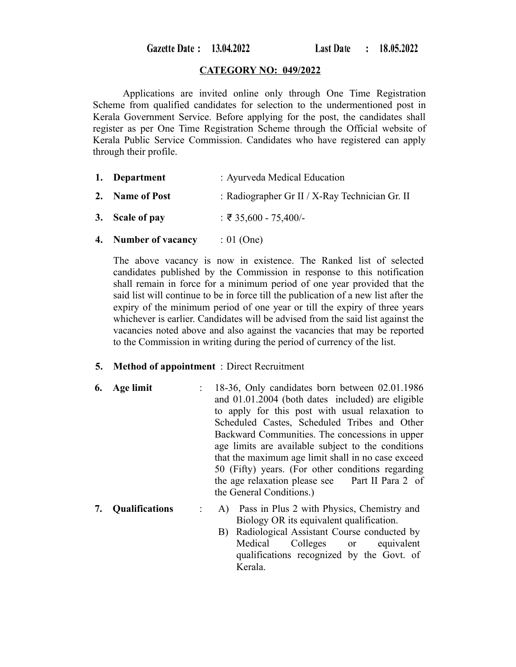Gazette Date: 13.04.2022

#### **CATEGORY NO: 049/2022**

Applications are invited online only through One Time Registration Scheme from qualified candidates for selection to the undermentioned post in Kerala Government Service. Before applying for the post, the candidates shall register as per One Time Registration Scheme through the Official website of Kerala Public Service Commission. Candidates who have registered can apply through their profile.

- **1. Department** : Ayurveda Medical Education
- **2. Name of Post** : Radiographer Gr II / X-Ray Technician Gr. II
- **3. Scale of pay** : ₹ 35,600 75,400/-
- **4. Number of vacancy** : 01 (One)

The above vacancy is now in existence. The Ranked list of selected candidates published by the Commission in response to this notification shall remain in force for a minimum period of one year provided that the said list will continue to be in force till the publication of a new list after the expiry of the minimum period of one year or till the expiry of three years whichever is earlier. Candidates will be advised from the said list against the vacancies noted above and also against the vacancies that may be reported to the Commission in writing during the period of currency of the list.

#### **5. Method of appointment** : Direct Recruitment

- **6. Age limit** : 18-36, Only candidates born between 02.01.1986 and 01.01.2004 (both dates included) are eligible to apply for this post with usual relaxation to Scheduled Castes, Scheduled Tribes and Other Backward Communities. The concessions in upper age limits are available subject to the conditions that the maximum age limit shall in no case exceed 50 (Fifty) years. (For other conditions regarding the age relaxation please see Part II Para 2 of the General Conditions.)
- **7. Qualifications** : A) Pass in Plus 2 with Physics, Chemistry and Biology OR its equivalent qualification.
	- B) Radiological Assistant Course conducted by Medical Colleges or equivalent qualifications recognized by the Govt. of Kerala.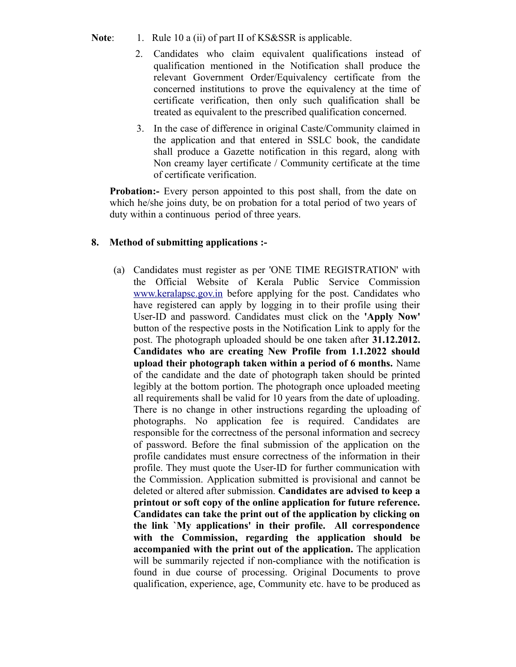- Note: 1. Rule 10 a (ii) of part II of KS&SSR is applicable.
	- 2. Candidates who claim equivalent qualifications instead of qualification mentioned in the Notification shall produce the relevant Government Order/Equivalency certificate from the concerned institutions to prove the equivalency at the time of certificate verification, then only such qualification shall be treated as equivalent to the prescribed qualification concerned.
	- 3. In the case of difference in original Caste/Community claimed in the application and that entered in SSLC book, the candidate shall produce a Gazette notification in this regard, along with Non creamy layer certificate / Community certificate at the time of certificate verification.

**Probation:** Every person appointed to this post shall, from the date on which he/she joins duty, be on probation for a total period of two years of duty within a continuous period of three years.

## **8. Method of submitting applications :-**

(a) Candidates must register as per 'ONE TIME REGISTRATION' with the Official Website of Kerala Public Service Commission [www.keralapsc.gov.in](http://www.kerealapsc.gov.in/) before applying for the post. Candidates who have registered can apply by logging in to their profile using their User-ID and password. Candidates must click on the **'Apply Now'** button of the respective posts in the Notification Link to apply for the post. The photograph uploaded should be one taken after **31.12.2012. Candidates who are creating New Profile from 1.1.2022 should upload their photograph taken within a period of 6 months.** Name of the candidate and the date of photograph taken should be printed legibly at the bottom portion. The photograph once uploaded meeting all requirements shall be valid for 10 years from the date of uploading. There is no change in other instructions regarding the uploading of photographs. No application fee is required. Candidates are responsible for the correctness of the personal information and secrecy of password. Before the final submission of the application on the profile candidates must ensure correctness of the information in their profile. They must quote the User-ID for further communication with the Commission. Application submitted is provisional and cannot be deleted or altered after submission. **Candidates are advised to keep a printout or soft copy of the online application for future reference. Candidates can take the print out of the application by clicking on the link `My applications' in their profile. All correspondence with the Commission, regarding the application should be accompanied with the print out of the application.** The application will be summarily rejected if non-compliance with the notification is found in due course of processing. Original Documents to prove qualification, experience, age, Community etc. have to be produced as